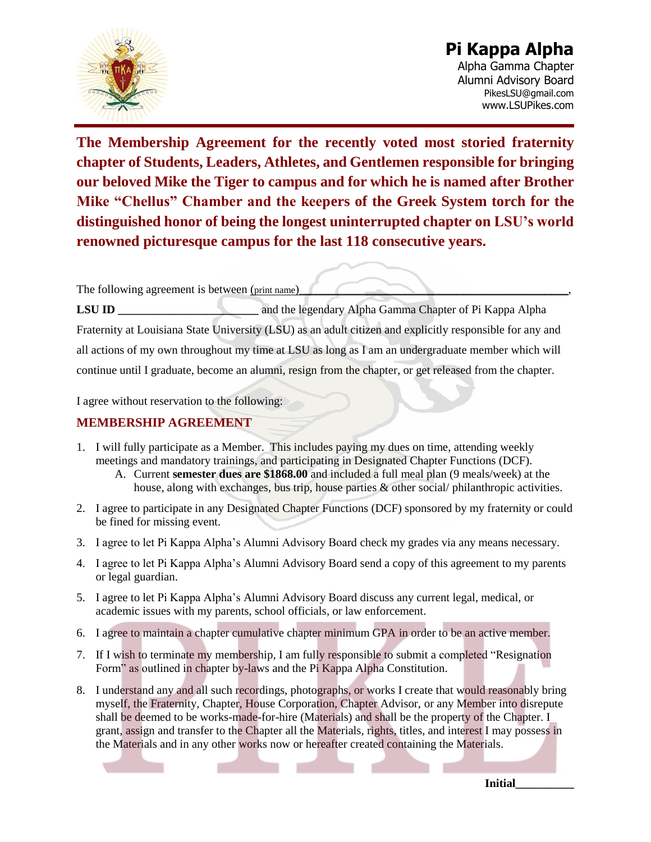

## **Pi Kappa Alpha**

Alpha Gamma Chapter Alumni Advisory Board PikesLSU@gmail.com www.LSUPikes.com

**The Membership Agreement for the recently voted most storied fraternity chapter of Students, Leaders, Athletes, and Gentlemen responsible for bringing our beloved Mike the Tiger to campus and for which he is named after Brother Mike "Chellus" Chamber and the keepers of the Greek System torch for the distinguished honor of being the longest uninterrupted chapter on LSU's world renowned picturesque campus for the last 118 consecutive years.**

The following agreement is between (print name)

**LSU ID and the legendary Alpha Gamma Chapter of Pi Kappa Alpha** Fraternity at Louisiana State University (LSU) as an adult citizen and explicitly responsible for any and all actions of my own throughout my time at LSU as long as I am an undergraduate member which will continue until I graduate, become an alumni, resign from the chapter, or get released from the chapter.

I agree without reservation to the following:

## **MEMBERSHIP AGREEMENT**

- 1. I will fully participate as a Member. This includes paying my dues on time, attending weekly meetings and mandatory trainings, and participating in Designated Chapter Functions (DCF).
	- A. Current **semester dues are \$1868.00** and included a full meal plan (9 meals/week) at the house, along with exchanges, bus trip, house parties & other social/ philanthropic activities.
- 2. I agree to participate in any Designated Chapter Functions (DCF) sponsored by my fraternity or could be fined for missing event.
- 3. I agree to let Pi Kappa Alpha's Alumni Advisory Board check my grades via any means necessary.
- 4. I agree to let Pi Kappa Alpha's Alumni Advisory Board send a copy of this agreement to my parents or legal guardian.
- 5. I agree to let Pi Kappa Alpha's Alumni Advisory Board discuss any current legal, medical, or academic issues with my parents, school officials, or law enforcement.
- 6. I agree to maintain a chapter cumulative chapter minimum GPA in order to be an active member.
- 7. If I wish to terminate my membership, I am fully responsible to submit a completed "Resignation Form" as outlined in chapter by-laws and the Pi Kappa Alpha Constitution.
- 8. I understand any and all such recordings, photographs, or works I create that would reasonably bring myself, the Fraternity, Chapter, House Corporation, Chapter Advisor, or any Member into disrepute shall be deemed to be works-made-for-hire (Materials) and shall be the property of the Chapter. I grant, assign and transfer to the Chapter all the Materials, rights, titles, and interest I may possess in the Materials and in any other works now or hereafter created containing the Materials.

**Initial\_\_\_\_\_\_\_\_\_\_**